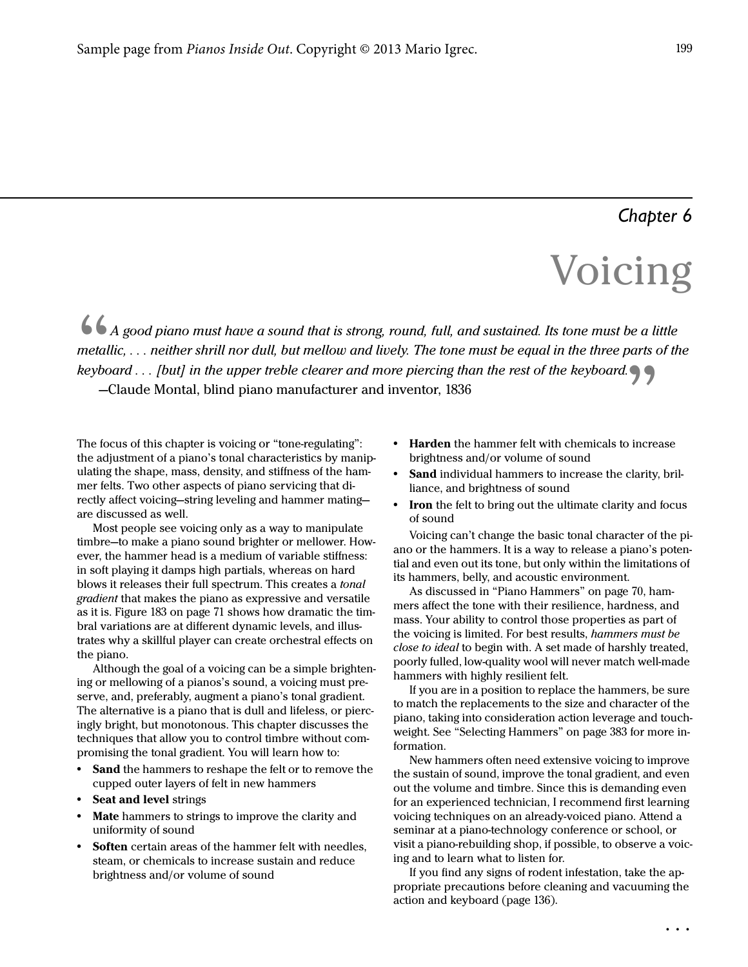# *Chapter 6*

# Voice de la proposition de la proposition de la proposition de la proposition de la proposition de la proposition<br>La proposition de la proposition de la proposition de la proposition de la proposition de la proposition de

*Reyboard* . . . *[but] in the upper freme clearer and*<br>—Claude Montal, blind piano manufacturer and<br>The focus of this chapter is voicing or "tone-regulating": A good piano must have a sound that is strong, round, full, and sustained. Its tone must be a little metallic, . . . neither shrill nor dull, but mellow and lively. The tone must be equal in the three parts of the keyboard . . . [but] in the upper treble clearer and more piercing than the rest of the keyboard.

-Claude Montal, blind piano manufacturer and inventor, 1836<br>
focus of this chapter is voicing or "tone-regulating":<br>
adjustment of a piano's tonal characteristics by manip-<br>
ing the shape, mass, density, and stiffness of t the adjustment of a piano's tonal characteristics by manipulating the shape, mass, density, and stiffness of the hammer felts. Two other aspects of piano servicing that directly affect voicing—string leveling and hammer mating are discussed as well.

Most people see voicing only as a way to manipulate timbre—to make a piano sound brighter or mellower. However, the hammer head is a medium of variable stiffness: in soft playing it damps high partials, whereas on hard blows it releases their full spectrum. This creates a tonal gradient that makes the piano as expressive and versatile as it is. Figure 183 on page 71 shows how dramatic the timbral variations are at different dynamic levels, and illustrates why a skillful player can create orchestral effects on the piano.

Although the goal of a voicing can be a simple brightening or mellowing of a pianos's sound, a voicing must preserve, and, preferably, augment a piano's tonal gradient. The alternative is a piano that is dull and lifeless, or piercingly bright, but monotonous. This chapter discusses the techniques that allow you to control timbre without compromising the tonal gradient. You will learn how to:

- **•** Sand the hammers to reshape the felt or to remove the cupped outer layers of felt in new hammers
- **•** Seat and level strings
- **•** Mate hammers to strings to improve the clarity and uniformity of sound
- **•** Soften certain areas of the hammer felt with needles, steam, or chemicals to increase sustain and reduce brightness and/or volume of sound
- **•** Harden the hammer felt with chemicals to increase brightness and/or volume of sound
- **•** Sand individual hammers to increase the clarity, brilliance, and brightness of sound
- **Iron** the felt to bring out the ultimate clarity and focus of sound

Voicing can't change the basic tonal character of the piano or the hammers. It is a way to release a piano's potential and even out its tone, but only within the limitations of its hammers, belly, and acoustic environment.

As discussed in "Piano Hammers" on page 70, hammers affect the tone with their resilience, hardness, and mass. Your ability to control those properties as part of the voicing is limited. For best results, hammers must be close to ideal to begin with. A set made of harshly treated, poorly fulled, low-quality wool will never match well-made hammers with highly resilient felt.

If you are in a position to replace the hammers, be sure to match the replacements to the size and character of the piano, taking into consideration action leverage and touchweight. See "Selecting Hammers" on page 383 for more information.

New hammers often need extensive voicing to improve the sustain of sound, improve the tonal gradient, and even out the volume and timbre. Since this is demanding even for an experienced technician, I recommend first learning voicing techniques on an already-voiced piano. Attend a seminar at a piano-technology conference or school, or visit a piano-rebuilding shop, if possible, to observe a voicing and to learn what to listen for.

If you find any signs of rodent infestation, take the appropriate precautions before cleaning and vacuuming the action and keyboard (page 136).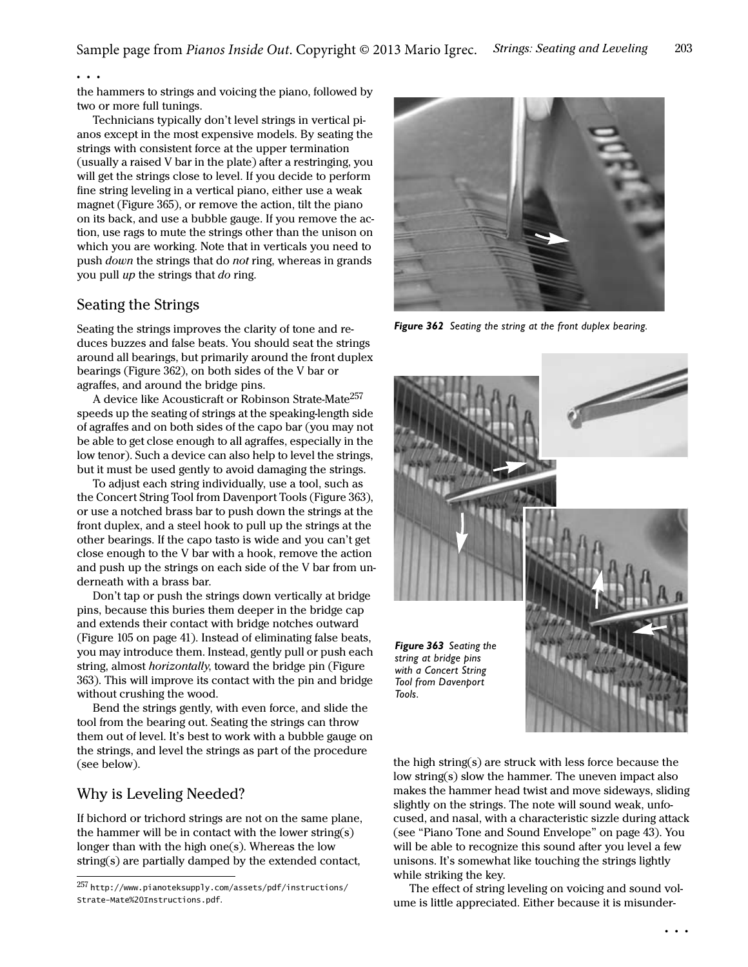#### . . .

the hammers to strings and voicing the piano, followed by two or more full tunings.

Technicians typically don't level strings in vertical pianos except in the most expensive models. By seating the strings with consistent force at the upper termination (usually a raised V bar in the plate) after a restringing, you will get the strings close to level. If you decide to perform fine string leveling in a vertical piano, either use a weak magnet (Figure 365), or remove the action, tilt the piano on its back, and use a bubble gauge. If you remove the action, use rags to mute the strings other than the unison on which you are working. Note that in verticals you need to push down the strings that do not ring, whereas in grands you pull up the strings that do ring.

## Seating the Strings

Seating the strings improves the clarity of tone and reduces buzzes and false beats. You should seat the strings around all bearings, but primarily around the front duplex bearings (Figure 362), on both sides of the V bar or agraffes, and around the bridge pins.

A device like Acousticraft or Robinson Strate-Mate<sup>257</sup> speeds up the seating of strings at the speaking-length side of agraffes and on both sides of the capo bar (you may not be able to get close enough to all agraffes, especially in the low tenor). Such a device can also help to level the strings, but it must be used gently to avoid damaging the strings.

To adjust each string individually, use a tool, such as the Concert String Tool from Davenport Tools [\(Figure 363\)](#page-1-0), or use a notched brass bar to push down the strings at the front duplex, and a steel hook to pull up the strings at the other bearings. If the capo tasto is wide and you can't get close enough to the V bar with a hook, remove the action and push up the strings on each side of the V bar from underneath with a brass bar.

Don't tap or push the strings down vertically at bridge pins, because this buries them deeper in the bridge cap and extends their contact with bridge notches outward (Figure 105 on page 41). Instead of eliminating false beats, you may introduce them. Instead, gently pull or push each string, almost *horizontally*, toward the bridge pin (Figure [363\)](#page-1-0). This will improve its contact with the pin and bridge without crushing the wood.

Bend the strings gently, with even force, and slide the tool from the bearing out. Seating the strings can throw them out of level. It's best to work with a bubble gauge on the strings, and level the strings as part of the procedure (see below).

## Why is Leveling Needed?

If bichord or trichord strings are not on the same plane, the hammer will be in contact with the lower string(s) longer than with the high one(s). Whereas the low string(s) are partially damped by the extended contact,



*Figure 362 Seating the string at the front duplex bearing.*



<span id="page-1-0"></span>the high string(s) are struck with less force because the low string(s) slow the hammer. The uneven impact also makes the hammer head twist and move sideways, sliding slightly on the strings. The note will sound weak, unfocused, and nasal, with a characteristic sizzle during attack (see "Piano Tone and Sound Envelope" on page 43). You will be able to recognize this sound after you level a few unisons. It's somewhat like touching the strings lightly while striking the key.

The effect of string leveling on voicing and sound volume is little appreciated. Either because it is misunder-

<sup>257</sup> http://www.pianoteksupply.com/assets/pdf/instructions/ Strate-Mate%20Instructions.pdf.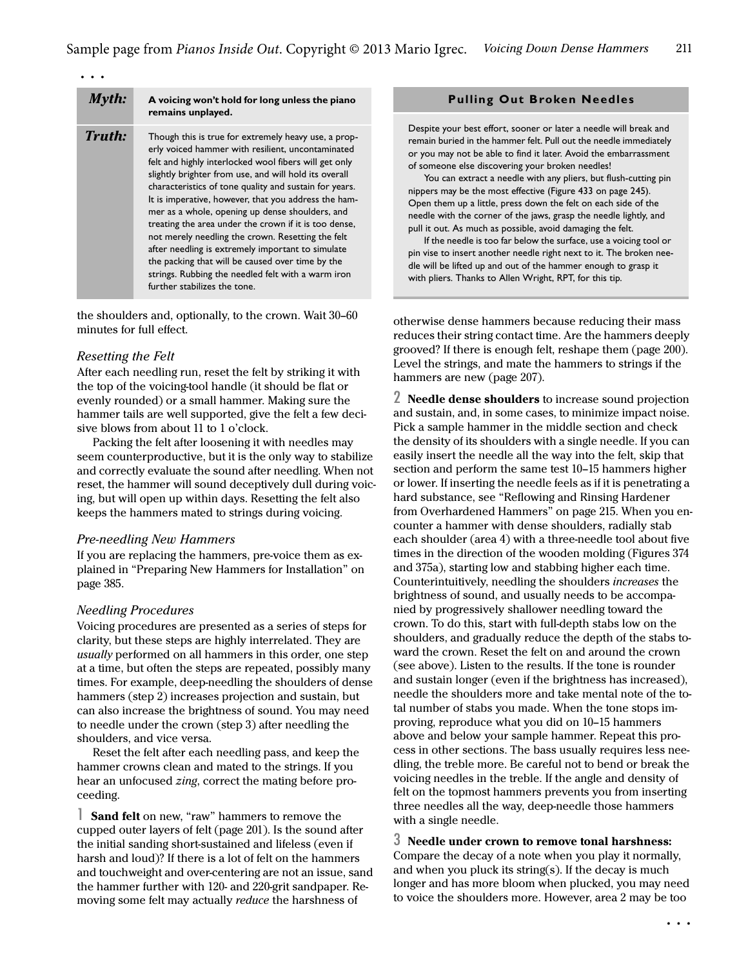| Myth:  | A voicing won't hold for long unless the piano<br>remains unplayed.                                                                                                                                                                                                                                                                                                                                                                                                                                                                                                                                                                                                                                           |
|--------|---------------------------------------------------------------------------------------------------------------------------------------------------------------------------------------------------------------------------------------------------------------------------------------------------------------------------------------------------------------------------------------------------------------------------------------------------------------------------------------------------------------------------------------------------------------------------------------------------------------------------------------------------------------------------------------------------------------|
| Truth: | Though this is true for extremely heavy use, a prop-<br>erly voiced hammer with resilient, uncontaminated<br>felt and highly interlocked wool fibers will get only<br>slightly brighter from use, and will hold its overall<br>characteristics of tone quality and sustain for years.<br>It is imperative, however, that you address the ham-<br>mer as a whole, opening up dense shoulders, and<br>treating the area under the crown if it is too dense,<br>not merely needling the crown. Resetting the felt<br>after needling is extremely important to simulate<br>the packing that will be caused over time by the<br>strings. Rubbing the needled felt with a warm iron<br>further stabilizes the tone. |

the shoulders and, optionally, to the crown. Wait 30–60 minutes for full effect.

#### Resetting the Felt

After each needling run, reset the felt by striking it with the top of the voicing-tool handle (it should be flat or evenly rounded) or a small hammer. Making sure the hammer tails are well supported, give the felt a few decisive blows from about 11 to 1 o'clock.

Packing the felt after loosening it with needles may seem counterproductive, but it is the only way to stabilize and correctly evaluate the sound after needling. When not reset, the hammer will sound deceptively dull during voicing, but will open up within days. Resetting the felt also keeps the hammers mated to strings during voicing.

#### Pre-needling New Hammers

If you are replacing the hammers, pre-voice them as explained in "Preparing New Hammers for Installation" on page 385.

#### Needling Procedures

Voicing procedures are presented as a series of steps for clarity, but these steps are highly interrelated. They are usually performed on all hammers in this order, one step at a time, but often the steps are repeated, possibly many times. For example, deep-needling the shoulders of dense hammers (step 2) increases projection and sustain, but can also increase the brightness of sound. You may need to needle under the crown [\(step 3\)](#page-2-0) after needling the shoulders, and vice versa.

Reset the felt after each needling pass, and keep the hammer crowns clean and mated to the strings. If you hear an unfocused zing, correct the mating before proceeding.

1 Sand felt on new, "raw" hammers to remove the cupped outer layers of felt [\(page 201](#page--1-0)). Is the sound after the initial sanding short-sustained and lifeless (even if harsh and loud)? If there is a lot of felt on the hammers and touchweight and over-centering are not an issue, sand the hammer further with 120- and 220-grit sandpaper. Removing some felt may actually reduce the harshness of

#### **Pulling Out Broken Needles**

Despite your best effort, sooner or later a needle will break and remain buried in the hammer felt. Pull out the needle immediately or you may not be able to find it later. Avoid the embarrassment of someone else discovering your broken needles!

You can extract a needle with any pliers, but flush-cutting pin nippers may be the most effective (Figure 433 on page 245). Open them up a little, press down the felt on each side of the needle with the corner of the jaws, grasp the needle lightly, and pull it out. As much as possible, avoid damaging the felt.

If the needle is too far below the surface, use a voicing tool or pin vise to insert another needle right next to it. The broken needle will be lifted up and out of the hammer enough to grasp it with pliers. Thanks to Allen Wright, RPT, for this tip.

otherwise dense hammers because reducing their mass reduces their string contact time. Are the hammers deeply grooved? If there is enough felt, reshape them [\(page 200\)](#page--1-1). Level the strings, and mate the hammers to strings if the hammers are new ([page 207](#page--1-2)).

2 Needle dense shoulders to increase sound projection and sustain, and, in some cases, to minimize impact noise. Pick a sample hammer in the middle section and check the density of its shoulders with a single needle. If you can easily insert the needle all the way into the felt, skip that section and perform the same test 10–15 hammers higher or lower. If inserting the needle feels as if it is penetrating a hard substance, see ["Reflowing and Rinsing Hardener](#page--1-3)  [from Overhardened Hammers" on page 215](#page--1-3). When you encounter a hammer with dense shoulders, radially stab each shoulder (area 4) with a three-needle tool about five times in the direction of the wooden molding (Figures 374 and 375a), starting low and stabbing higher each time. Counterintuitively, needling the shoulders increases the brightness of sound, and usually needs to be accompanied by progressively shallower needling toward the crown. To do this, start with full-depth stabs low on the shoulders, and gradually reduce the depth of the stabs toward the crown. Reset the felt on and around the crown (see above). Listen to the results. If the tone is rounder and sustain longer (even if the brightness has increased), needle the shoulders more and take mental note of the total number of stabs you made. When the tone stops improving, reproduce what you did on 10–15 hammers above and below your sample hammer. Repeat this process in other sections. The bass usually requires less needling, the treble more. Be careful not to bend or break the voicing needles in the treble. If the angle and density of felt on the topmost hammers prevents you from inserting three needles all the way, deep-needle those hammers with a single needle.

<span id="page-2-0"></span>3 Needle under crown to remove tonal harshness: Compare the decay of a note when you play it normally, and when you pluck its string(s). If the decay is much longer and has more bloom when plucked, you may need to voice the shoulders more. However, area 2 may be too